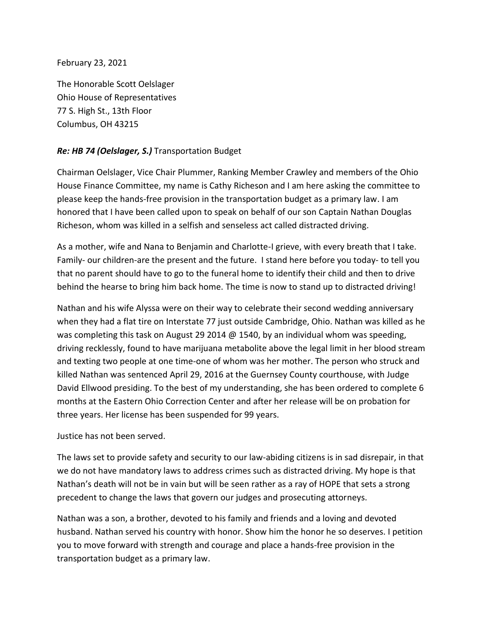February 23, 2021

The Honorable Scott Oelslager Ohio House of Representatives 77 S. High St., 13th Floor Columbus, OH 43215

## *Re: HB 74 (Oelslager, S.)* Transportation Budget

Chairman Oelslager, Vice Chair Plummer, Ranking Member Crawley and members of the Ohio House Finance Committee, my name is Cathy Richeson and I am here asking the committee to please keep the hands-free provision in the transportation budget as a primary law. I am honored that I have been called upon to speak on behalf of our son Captain Nathan Douglas Richeson, whom was killed in a selfish and senseless act called distracted driving.

As a mother, wife and Nana to Benjamin and Charlotte-I grieve, with every breath that I take. Family- our children-are the present and the future. I stand here before you today- to tell you that no parent should have to go to the funeral home to identify their child and then to drive behind the hearse to bring him back home. The time is now to stand up to distracted driving!

Nathan and his wife Alyssa were on their way to celebrate their second wedding anniversary when they had a flat tire on Interstate 77 just outside Cambridge, Ohio. Nathan was killed as he was completing this task on August 29 2014 @ 1540, by an individual whom was speeding, driving recklessly, found to have marijuana metabolite above the legal limit in her blood stream and texting two people at one time-one of whom was her mother. The person who struck and killed Nathan was sentenced April 29, 2016 at the Guernsey County courthouse, with Judge David Ellwood presiding. To the best of my understanding, she has been ordered to complete 6 months at the Eastern Ohio Correction Center and after her release will be on probation for three years. Her license has been suspended for 99 years.

## Justice has not been served.

The laws set to provide safety and security to our law-abiding citizens is in sad disrepair, in that we do not have mandatory laws to address crimes such as distracted driving. My hope is that Nathan's death will not be in vain but will be seen rather as a ray of HOPE that sets a strong precedent to change the laws that govern our judges and prosecuting attorneys.

Nathan was a son, a brother, devoted to his family and friends and a loving and devoted husband. Nathan served his country with honor. Show him the honor he so deserves. I petition you to move forward with strength and courage and place a hands-free provision in the transportation budget as a primary law.